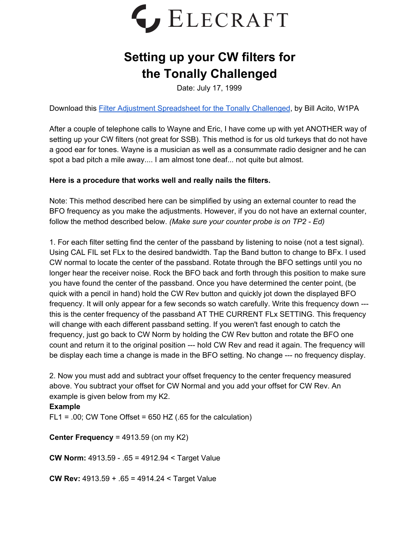

## **Setting up your CW filters for the Tonally Challenged**

Date: July 17, 1999

Download this Filter Adjustment [Spreadsheet](https://ftp.elecraft.com/K2/Mod%20Notes%20Alerts/filter_setup.XLS) for the Tonally Challenged, by Bill Acito, W1PA

After a couple of telephone calls to Wayne and Eric, I have come up with yet ANOTHER way of setting up your CW filters (not great for SSB). This method is for us old turkeys that do not have a good ear for tones. Wayne is a musician as well as a consummate radio designer and he can spot a bad pitch a mile away.... I am almost tone deaf... not quite but almost.

## **Here is a procedure that works well and really nails the filters.**

Note: This method described here can be simplified by using an external counter to read the BFO frequency as you make the adjustments. However, if you do not have an external counter, follow the method described below. *(Make sure your counter probe is on TP2 - Ed)*

1. For each filter setting find the center of the passband by listening to noise (not a test signal). Using CAL FIL set FLx to the desired bandwidth. Tap the Band button to change to BFx. I used CW normal to locate the center of the passband. Rotate through the BFO settings until you no longer hear the receiver noise. Rock the BFO back and forth through this position to make sure you have found the center of the passband. Once you have determined the center point, (be quick with a pencil in hand) hold the CW Rev button and quickly jot down the displayed BFO frequency. It will only appear for a few seconds so watch carefully. Write this frequency down -- this is the center frequency of the passband AT THE CURRENT FLx SETTING. This frequency will change with each different passband setting. If you weren't fast enough to catch the frequency, just go back to CW Norm by holding the CW Rev button and rotate the BFO one count and return it to the original position --- hold CW Rev and read it again. The frequency will be display each time a change is made in the BFO setting. No change --- no frequency display.

2. Now you must add and subtract your offset frequency to the center frequency measured above. You subtract your offset for CW Normal and you add your offset for CW Rev. An example is given below from my K2.

## **Example**

 $FL1 = .00$ ; CW Tone Offset = 650 HZ (.65 for the calculation)

**Center Frequency** = 4913.59 (on my K2)

**CW Norm:** 4913.59 - .65 = 4912.94 < Target Value

**CW Rev:** 4913.59 + .65 = 4914.24 < Target Value